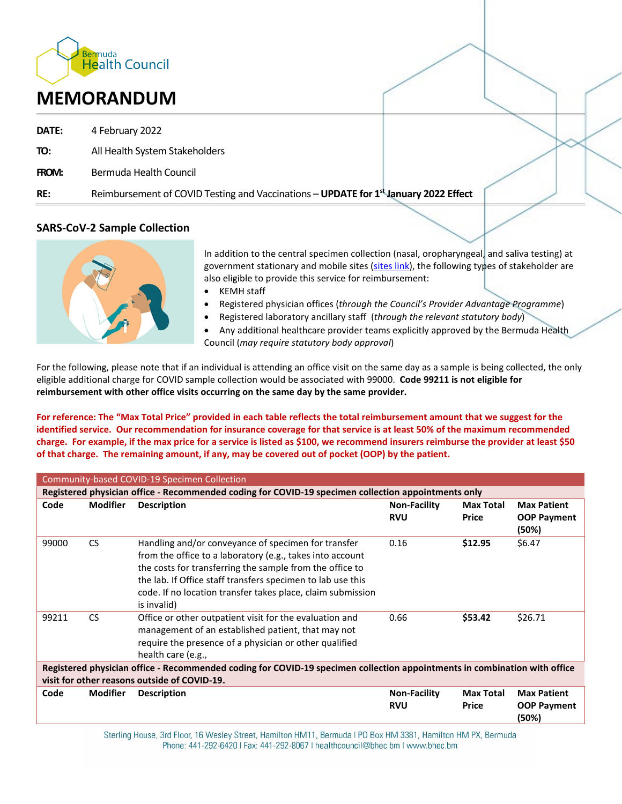

# **MEMORANDUM**

- **DATE:** 4 February 2022
- **TO:** All Health System Stakeholders
- **FROM:** Bermuda Health Council
- **RE:** Reimbursement of COVID Testing and Vaccinations **UPDATE for 1st January 2022 Effect**

# **SARS-CoV-2 Sample Collection**



In addition to the central specimen collection (nasal, oropharyngeal, and saliva testing) at government stationary and mobile sites [\(sites link\)](https://www.gov.bm/coronavirus-get-tested), the following types of stakeholder are also eligible to provide this service for reimbursement:

- KEMH staff
- Registered physician offices (*through the Council's Provider Advantage Programme*)
- Registered laboratory ancillary staff (*through the relevant statutory body*)

• Any additional healthcare provider teams explicitly approved by the Bermuda Health Council (*may require statutory body approval*)

For the following, please note that if an individual is attending an office visit on the same day as a sample is being collected, the only eligible additional charge for COVID sample collection would be associated with 99000. **Code 99211 is not eligible for reimbursement with other office visits occurring on the same day by the same provider.**

**For reference: The "Max Total Price" provided in each table reflects the total reimbursement amount that we suggest for the identified service. Our recommendation for insurance coverage for that service is at least 50% of the maximum recommended charge. For example, if the max price for a service is listed as \$100, we recommend insurers reimburse the provider at least \$50 of that charge. The remaining amount, if any, may be covered out of pocket (OOP) by the patient.**

| Community-based COVID-19 Specimen Collection                                                                              |                 |                                                                                                                                                                                                                                                                                                                           |                                   |                                  |                                                   |
|---------------------------------------------------------------------------------------------------------------------------|-----------------|---------------------------------------------------------------------------------------------------------------------------------------------------------------------------------------------------------------------------------------------------------------------------------------------------------------------------|-----------------------------------|----------------------------------|---------------------------------------------------|
| Registered physician office - Recommended coding for COVID-19 specimen collection appointments only                       |                 |                                                                                                                                                                                                                                                                                                                           |                                   |                                  |                                                   |
| Code                                                                                                                      | <b>Modifier</b> | <b>Description</b>                                                                                                                                                                                                                                                                                                        | <b>Non-Facility</b><br><b>RVU</b> | <b>Max Total</b><br><b>Price</b> | <b>Max Patient</b><br><b>OOP Payment</b><br>(50%) |
| 99000                                                                                                                     | <b>CS</b>       | Handling and/or conveyance of specimen for transfer<br>from the office to a laboratory (e.g., takes into account<br>the costs for transferring the sample from the office to<br>the lab. If Office staff transfers specimen to lab use this<br>code. If no location transfer takes place, claim submission<br>is invalid) | 0.16                              | \$12.95                          | \$6.47                                            |
| 99211                                                                                                                     | <b>CS</b>       | Office or other outpatient visit for the evaluation and<br>management of an established patient, that may not<br>require the presence of a physician or other qualified<br>health care (e.g.,                                                                                                                             | 0.66                              | \$53.42                          | \$26.71                                           |
| Registered physician office - Recommended coding for COVID-19 specimen collection appointments in combination with office |                 |                                                                                                                                                                                                                                                                                                                           |                                   |                                  |                                                   |
| visit for other reasons outside of COVID-19.                                                                              |                 |                                                                                                                                                                                                                                                                                                                           |                                   |                                  |                                                   |
| Code                                                                                                                      | <b>Modifier</b> | <b>Description</b>                                                                                                                                                                                                                                                                                                        | <b>Non-Facility</b><br><b>RVU</b> | <b>Max Total</b><br><b>Price</b> | <b>Max Patient</b><br><b>OOP Payment</b><br>(50%) |

Sterling House, 3rd Floor, 16 Wesley Street, Hamilton HM11, Bermuda I PO Box HM 3381, Hamilton HM PX, Bermuda Phone: 441-292-6420 | Fax: 441-292-8067 | healthcouncil@bhec.bm | www.bhec.bm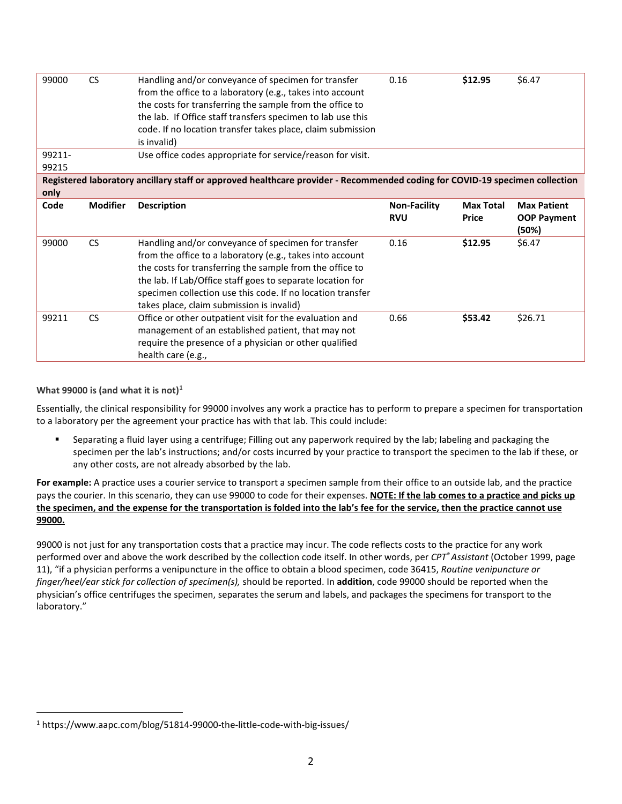| 99000                                                                                                                       | <b>CS</b>       | Handling and/or conveyance of specimen for transfer<br>from the office to a laboratory (e.g., takes into account<br>the costs for transferring the sample from the office to<br>the lab. If Office staff transfers specimen to lab use this<br>code. If no location transfer takes place, claim submission<br>is invalid) | 0.16                | \$12.95          | \$6.47                      |  |  |
|-----------------------------------------------------------------------------------------------------------------------------|-----------------|---------------------------------------------------------------------------------------------------------------------------------------------------------------------------------------------------------------------------------------------------------------------------------------------------------------------------|---------------------|------------------|-----------------------------|--|--|
| 99211-<br>99215                                                                                                             |                 | Use office codes appropriate for service/reason for visit.                                                                                                                                                                                                                                                                |                     |                  |                             |  |  |
| Registered laboratory ancillary staff or approved healthcare provider - Recommended coding for COVID-19 specimen collection |                 |                                                                                                                                                                                                                                                                                                                           |                     |                  |                             |  |  |
| only                                                                                                                        |                 |                                                                                                                                                                                                                                                                                                                           |                     |                  |                             |  |  |
| Code                                                                                                                        | <b>Modifier</b> | <b>Description</b>                                                                                                                                                                                                                                                                                                        | <b>Non-Facility</b> | <b>Max Total</b> | <b>Max Patient</b>          |  |  |
|                                                                                                                             |                 |                                                                                                                                                                                                                                                                                                                           | <b>RVU</b>          | <b>Price</b>     | <b>OOP Payment</b><br>(50%) |  |  |
| 99000                                                                                                                       | <b>CS</b>       | Handling and/or conveyance of specimen for transfer                                                                                                                                                                                                                                                                       | 0.16                | \$12.95          | \$6.47                      |  |  |
|                                                                                                                             |                 | from the office to a laboratory (e.g., takes into account                                                                                                                                                                                                                                                                 |                     |                  |                             |  |  |
|                                                                                                                             |                 | the costs for transferring the sample from the office to                                                                                                                                                                                                                                                                  |                     |                  |                             |  |  |
|                                                                                                                             |                 | the lab. If Lab/Office staff goes to separate location for                                                                                                                                                                                                                                                                |                     |                  |                             |  |  |
|                                                                                                                             |                 | specimen collection use this code. If no location transfer                                                                                                                                                                                                                                                                |                     |                  |                             |  |  |
|                                                                                                                             |                 | takes place, claim submission is invalid)                                                                                                                                                                                                                                                                                 |                     |                  |                             |  |  |
| 99211                                                                                                                       | <b>CS</b>       | Office or other outpatient visit for the evaluation and                                                                                                                                                                                                                                                                   | 0.66                | \$53.42          | \$26.71                     |  |  |
|                                                                                                                             |                 | management of an established patient, that may not                                                                                                                                                                                                                                                                        |                     |                  |                             |  |  |
|                                                                                                                             |                 | require the presence of a physician or other qualified                                                                                                                                                                                                                                                                    |                     |                  |                             |  |  |
|                                                                                                                             |                 | health care (e.g.,                                                                                                                                                                                                                                                                                                        |                     |                  |                             |  |  |

## **What 99000 is (and what it is not)[1](#page--1-0)**

Essentially, the clinical responsibility for 99000 involves any work a practice has to perform to prepare a specimen for transportation to a laboratory per the agreement your practice has with that lab. This could include:

 Separating a fluid layer using a centrifuge; Filling out any paperwork required by the lab; labeling and packaging the specimen per the lab's instructions; and/or costs incurred by your practice to transport the specimen to the lab if these, or any other costs, are not already absorbed by the lab.

**For example:** A practice uses a courier service to transport a specimen sample from their office to an outside lab, and the practice pays the courier. In this scenario, they can use 99000 to code for their expenses. **NOTE: If the lab comes to a practice and picks up the specimen, and the expense for the transportation is folded into the lab's fee for the service, then the practice cannot use 99000.**

99000 is not just for any transportation costs that a practice may incur. The code reflects costs to the practice for any work performed over and above the work described by the collection code itself. In other words, per *CPT®Assistant* (October 1999, page 11), "if a physician performs a venipuncture in the office to obtain a blood specimen, code 36415, *Routine venipuncture or finger/heel/ear stick for collection of specimen(s),* should be reported. In **addition**, code 99000 should be reported when the physician's office centrifuges the specimen, separates the serum and labels, and packages the specimens for transport to the laboratory."

<sup>1</sup> https://www.aapc.com/blog/51814-99000-the-little-code-with-big-issues/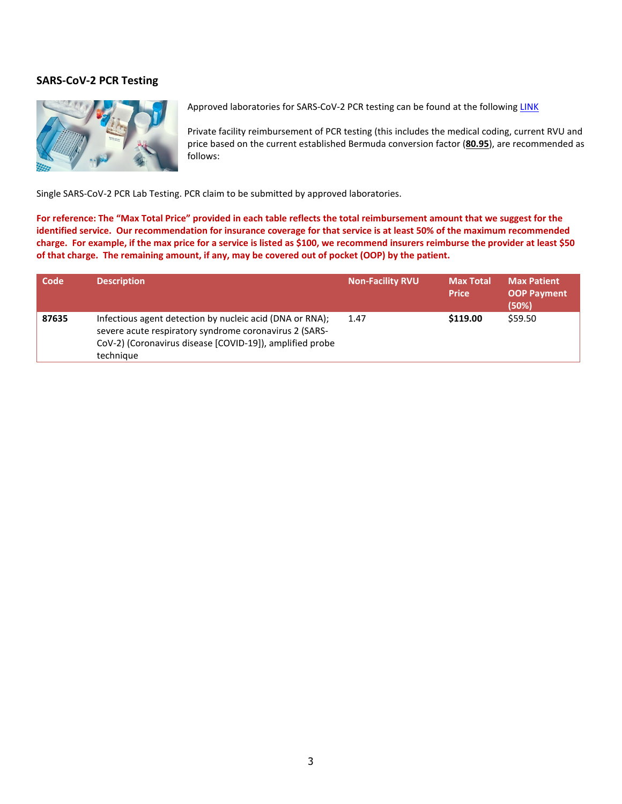## **SARS-CoV-2 PCR Testing**



Approved laboratories for SARS-CoV-2 PCR testing can be found at the following [LINK](https://bhec.bm/covid-testing-facilities/)

Private facility reimbursement of PCR testing (this includes the medical coding, current RVU and price based on the current established Bermuda conversion factor (**80.95**), are recommended as follows:

Single SARS-CoV-2 PCR Lab Testing. PCR claim to be submitted by approved laboratories.

**For reference: The "Max Total Price" provided in each table reflects the total reimbursement amount that we suggest for the identified service. Our recommendation for insurance coverage for that service is at least 50% of the maximum recommended charge. For example, if the max price for a service is listed as \$100, we recommend insurers reimburse the provider at least \$50 of that charge. The remaining amount, if any, may be covered out of pocket (OOP) by the patient.**

| Code  | <b>Description</b>                                                                                                                                                                          | <b>Non-Facility RVU</b> | <b>Max Total</b><br><b>Price</b> | <b>Max Patient</b><br><b>OOP Payment</b><br>(50%) |
|-------|---------------------------------------------------------------------------------------------------------------------------------------------------------------------------------------------|-------------------------|----------------------------------|---------------------------------------------------|
| 87635 | Infectious agent detection by nucleic acid (DNA or RNA);<br>severe acute respiratory syndrome coronavirus 2 (SARS-<br>CoV-2) (Coronavirus disease [COVID-19]), amplified probe<br>technique | 1.47                    | \$119.00                         | \$59.50                                           |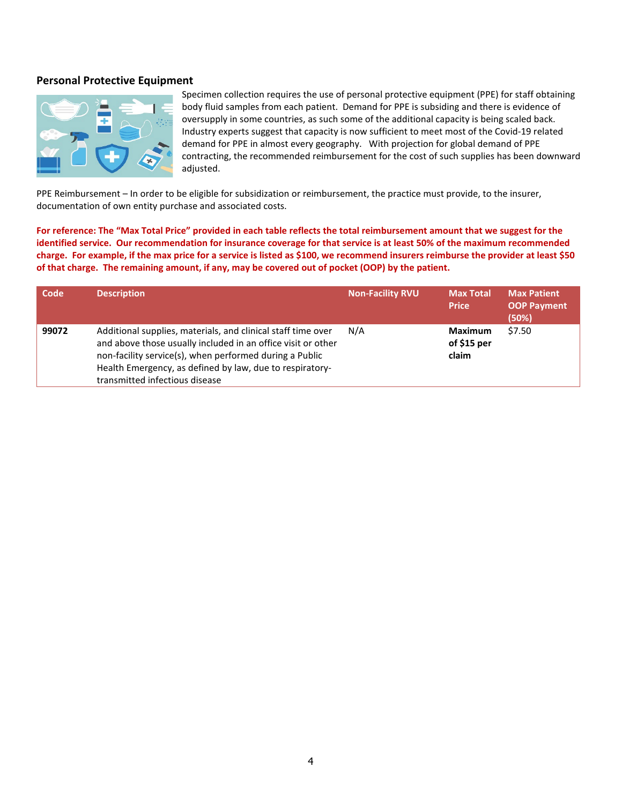## **Personal Protective Equipment**



Specimen collection requires the use of personal protective equipment (PPE) for staff obtaining body fluid samples from each patient. Demand for PPE is subsiding and there is evidence of oversupply in some countries, as such some of the additional capacity is being scaled back. Industry experts suggest that capacity is now sufficient to meet most of the Covid-19 related demand for PPE in almost every geography. With projection for global demand of PPE contracting, the recommended reimbursement for the cost of such supplies has been downward adjusted.

PPE Reimbursement – In order to be eligible for subsidization or reimbursement, the practice must provide, to the insurer, documentation of own entity purchase and associated costs.

**For reference: The "Max Total Price" provided in each table reflects the total reimbursement amount that we suggest for the identified service. Our recommendation for insurance coverage for that service is at least 50% of the maximum recommended charge. For example, if the max price for a service is listed as \$100, we recommend insurers reimburse the provider at least \$50 of that charge. The remaining amount, if any, may be covered out of pocket (OOP) by the patient.**

| Code  | <b>Description</b>                                                                                                                                                                                                                                                                    | <b>Non-Facility RVU</b> | <b>Max Total</b><br><b>Price</b>        | <b>Max Patient</b><br><b>OOP Payment</b><br>(50%) |
|-------|---------------------------------------------------------------------------------------------------------------------------------------------------------------------------------------------------------------------------------------------------------------------------------------|-------------------------|-----------------------------------------|---------------------------------------------------|
| 99072 | Additional supplies, materials, and clinical staff time over<br>and above those usually included in an office visit or other<br>non-facility service(s), when performed during a Public<br>Health Emergency, as defined by law, due to respiratory-<br>transmitted infectious disease | N/A                     | <b>Maximum</b><br>of $$15$ per<br>claim | \$7.50                                            |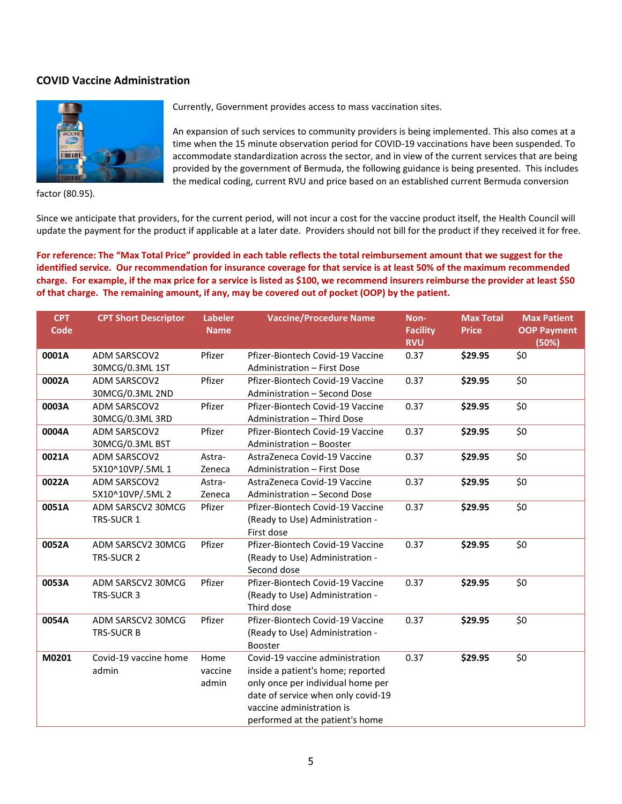# **COVID Vaccine Administration**



factor (80.95).

Currently, Government provides access to mass vaccination sites.

An expansion of such services to community providers is being implemented. This also comes at a time when the 15 minute observation period for COVID-19 vaccinations have been suspended. To accommodate standardization across the sector, and in view of the current services that are being provided by the government of Bermuda, the following guidance is being presented. This includes the medical coding, current RVU and price based on an established current Bermuda conversion

Since we anticipate that providers, for the current period, will not incur a cost for the vaccine product itself, the Health Council will update the payment for the product if applicable at a later date. Providers should not bill for the product if they received it for free.

**For reference: The "Max Total Price" provided in each table reflects the total reimbursement amount that we suggest for the identified service. Our recommendation for insurance coverage for that service is at least 50% of the maximum recommended charge. For example, if the max price for a service is listed as \$100, we recommend insurers reimburse the provider at least \$50 of that charge. The remaining amount, if any, may be covered out of pocket (OOP) by the patient.**

| <b>CPT</b><br>Code | <b>CPT Short Descriptor</b>            | <b>Labeler</b><br><b>Name</b> | <b>Vaccine/Procedure Name</b>                                                                                                                                                                                   | Non-<br><b>Facility</b><br><b>RVU</b> | <b>Max Total</b><br><b>Price</b> | <b>Max Patient</b><br><b>OOP Payment</b><br>(50%) |
|--------------------|----------------------------------------|-------------------------------|-----------------------------------------------------------------------------------------------------------------------------------------------------------------------------------------------------------------|---------------------------------------|----------------------------------|---------------------------------------------------|
| 0001A              | ADM SARSCOV2<br>30MCG/0.3ML 1ST        | Pfizer                        | Pfizer-Biontech Covid-19 Vaccine<br>Administration - First Dose                                                                                                                                                 | 0.37                                  | \$29.95                          | \$0                                               |
| 0002A              | <b>ADM SARSCOV2</b><br>30MCG/0.3ML 2ND | Pfizer                        | Pfizer-Biontech Covid-19 Vaccine<br>Administration - Second Dose                                                                                                                                                | 0.37                                  | \$29.95                          | \$0                                               |
| 0003A              | <b>ADM SARSCOV2</b><br>30MCG/0.3ML 3RD | Pfizer                        | Pfizer-Biontech Covid-19 Vaccine<br>Administration - Third Dose                                                                                                                                                 | 0.37                                  | \$29.95                          | \$0                                               |
| 0004A              | <b>ADM SARSCOV2</b><br>30MCG/0.3ML BST | Pfizer                        | Pfizer-Biontech Covid-19 Vaccine<br>Administration - Booster                                                                                                                                                    | 0.37                                  | \$29.95                          | \$0                                               |
| 0021A              | <b>ADM SARSCOV2</b><br>5X10^10VP/.5ML1 | Astra-<br>Zeneca              | AstraZeneca Covid-19 Vaccine<br>Administration - First Dose                                                                                                                                                     | 0.37                                  | \$29.95                          | \$0                                               |
| 0022A              | <b>ADM SARSCOV2</b><br>5X10^10VP/.5ML2 | Astra-<br>Zeneca              | AstraZeneca Covid-19 Vaccine<br>Administration - Second Dose                                                                                                                                                    | 0.37                                  | \$29.95                          | \$0                                               |
| 0051A              | ADM SARSCV2 30MCG<br>TRS-SUCR 1        | Pfizer                        | Pfizer-Biontech Covid-19 Vaccine<br>(Ready to Use) Administration -<br>First dose                                                                                                                               | 0.37                                  | \$29.95                          | \$0                                               |
| 0052A              | ADM SARSCV2 30MCG<br>TRS-SUCR 2        | Pfizer                        | Pfizer-Biontech Covid-19 Vaccine<br>(Ready to Use) Administration -<br>Second dose                                                                                                                              | 0.37                                  | \$29.95                          | \$0                                               |
| 0053A              | ADM SARSCV2 30MCG<br>TRS-SUCR 3        | Pfizer                        | Pfizer-Biontech Covid-19 Vaccine<br>(Ready to Use) Administration -<br>Third dose                                                                                                                               | 0.37                                  | \$29.95                          | \$0                                               |
| 0054A              | ADM SARSCV2 30MCG<br><b>TRS-SUCR B</b> | Pfizer                        | Pfizer-Biontech Covid-19 Vaccine<br>(Ready to Use) Administration -<br><b>Booster</b>                                                                                                                           | 0.37                                  | \$29.95                          | \$0                                               |
| M0201              | Covid-19 vaccine home<br>admin         | Home<br>vaccine<br>admin      | Covid-19 vaccine administration<br>inside a patient's home; reported<br>only once per individual home per<br>date of service when only covid-19<br>vaccine administration is<br>performed at the patient's home | 0.37                                  | \$29.95                          | \$0                                               |